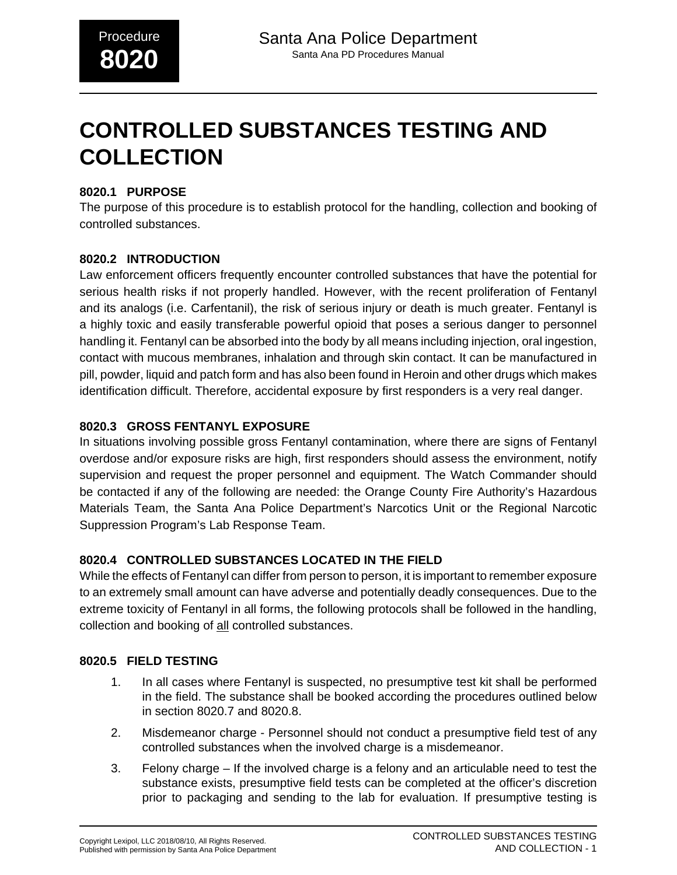# **CONTROLLED SUBSTANCES TESTING AND COLLECTION**

## **8020.1 PURPOSE**

The purpose of this procedure is to establish protocol for the handling, collection and booking of controlled substances.

## **8020.2 INTRODUCTION**

Law enforcement officers frequently encounter controlled substances that have the potential for serious health risks if not properly handled. However, with the recent proliferation of Fentanyl and its analogs (i.e. Carfentanil), the risk of serious injury or death is much greater. Fentanyl is a highly toxic and easily transferable powerful opioid that poses a serious danger to personnel handling it. Fentanyl can be absorbed into the body by all means including injection, oral ingestion, contact with mucous membranes, inhalation and through skin contact. It can be manufactured in pill, powder, liquid and patch form and has also been found in Heroin and other drugs which makes identification difficult. Therefore, accidental exposure by first responders is a very real danger.

## **8020.3 GROSS FENTANYL EXPOSURE**

In situations involving possible gross Fentanyl contamination, where there are signs of Fentanyl overdose and/or exposure risks are high, first responders should assess the environment, notify supervision and request the proper personnel and equipment. The Watch Commander should be contacted if any of the following are needed: the Orange County Fire Authority's Hazardous Materials Team, the Santa Ana Police Department's Narcotics Unit or the Regional Narcotic Suppression Program's Lab Response Team.

## **8020.4 CONTROLLED SUBSTANCES LOCATED IN THE FIELD**

While the effects of Fentanyl can differ from person to person, it is important to remember exposure to an extremely small amount can have adverse and potentially deadly consequences. Due to the extreme toxicity of Fentanyl in all forms, the following protocols shall be followed in the handling, collection and booking of all controlled substances.

## **8020.5 FIELD TESTING**

- 1. In all cases where Fentanyl is suspected, no presumptive test kit shall be performed in the field. The substance shall be booked according the procedures outlined below in section 8020.7 and 8020.8.
- 2. Misdemeanor charge Personnel should not conduct a presumptive field test of any controlled substances when the involved charge is a misdemeanor.
- 3. Felony charge If the involved charge is a felony and an articulable need to test the substance exists, presumptive field tests can be completed at the officer's discretion prior to packaging and sending to the lab for evaluation. If presumptive testing is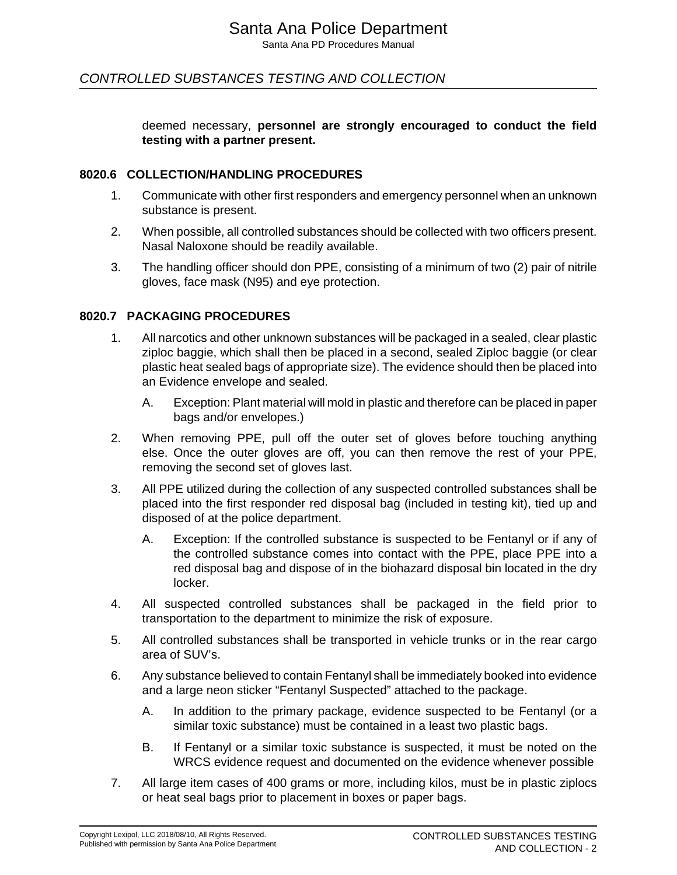## CONTROLLED SUBSTANCES TESTING AND COLLECTION

deemed necessary, **personnel are strongly encouraged to conduct the field testing with a partner present.**

#### **8020.6 COLLECTION/HANDLING PROCEDURES**

- 1. Communicate with other first responders and emergency personnel when an unknown substance is present.
- 2. When possible, all controlled substances should be collected with two officers present. Nasal Naloxone should be readily available.
- 3. The handling officer should don PPE, consisting of a minimum of two (2) pair of nitrile gloves, face mask (N95) and eye protection.

#### **8020.7 PACKAGING PROCEDURES**

- 1. All narcotics and other unknown substances will be packaged in a sealed, clear plastic ziploc baggie, which shall then be placed in a second, sealed Ziploc baggie (or clear plastic heat sealed bags of appropriate size). The evidence should then be placed into an Evidence envelope and sealed.
	- A. Exception: Plant material will mold in plastic and therefore can be placed in paper bags and/or envelopes.)
- 2. When removing PPE, pull off the outer set of gloves before touching anything else. Once the outer gloves are off, you can then remove the rest of your PPE, removing the second set of gloves last.
- 3. All PPE utilized during the collection of any suspected controlled substances shall be placed into the first responder red disposal bag (included in testing kit), tied up and disposed of at the police department.
	- A. Exception: If the controlled substance is suspected to be Fentanyl or if any of the controlled substance comes into contact with the PPE, place PPE into a red disposal bag and dispose of in the biohazard disposal bin located in the dry locker.
- 4. All suspected controlled substances shall be packaged in the field prior to transportation to the department to minimize the risk of exposure.
- 5. All controlled substances shall be transported in vehicle trunks or in the rear cargo area of SUV's.
- 6. Any substance believed to contain Fentanyl shall be immediately booked into evidence and a large neon sticker "Fentanyl Suspected" attached to the package.
	- A. In addition to the primary package, evidence suspected to be Fentanyl (or a similar toxic substance) must be contained in a least two plastic bags.
	- B. If Fentanyl or a similar toxic substance is suspected, it must be noted on the WRCS evidence request and documented on the evidence whenever possible
- 7. All large item cases of 400 grams or more, including kilos, must be in plastic ziplocs or heat seal bags prior to placement in boxes or paper bags.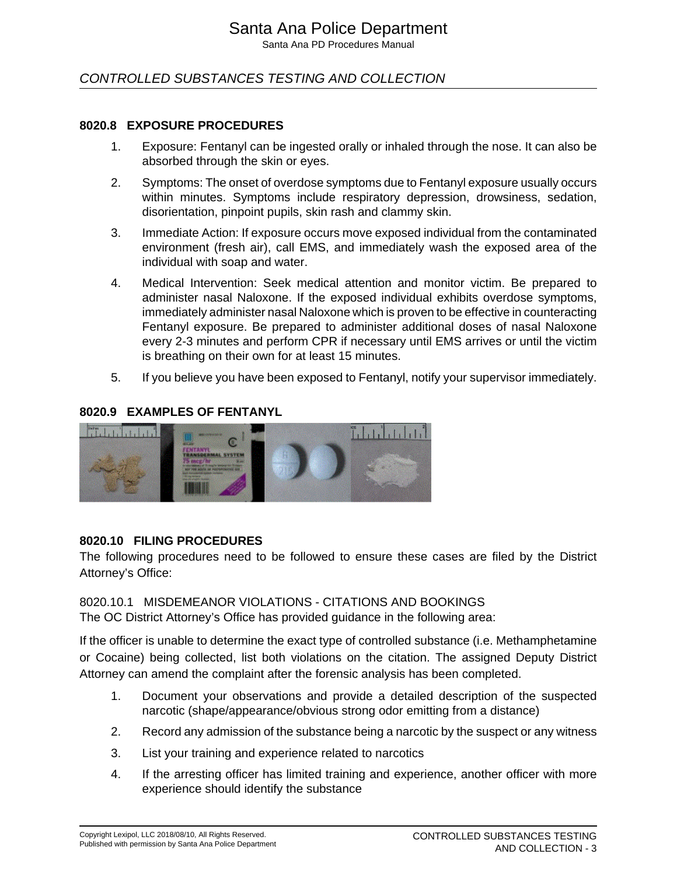Santa Ana PD Procedures Manual

## CONTROLLED SUBSTANCES TESTING AND COLLECTION

#### **8020.8 EXPOSURE PROCEDURES**

- 1. Exposure: Fentanyl can be ingested orally or inhaled through the nose. It can also be absorbed through the skin or eyes.
- 2. Symptoms: The onset of overdose symptoms due to Fentanyl exposure usually occurs within minutes. Symptoms include respiratory depression, drowsiness, sedation, disorientation, pinpoint pupils, skin rash and clammy skin.
- 3. Immediate Action: If exposure occurs move exposed individual from the contaminated environment (fresh air), call EMS, and immediately wash the exposed area of the individual with soap and water.
- 4. Medical Intervention: Seek medical attention and monitor victim. Be prepared to administer nasal Naloxone. If the exposed individual exhibits overdose symptoms, immediately administer nasal Naloxone which is proven to be effective in counteracting Fentanyl exposure. Be prepared to administer additional doses of nasal Naloxone every 2-3 minutes and perform CPR if necessary until EMS arrives or until the victim is breathing on their own for at least 15 minutes.
- 5. If you believe you have been exposed to Fentanyl, notify your supervisor immediately.

#### **8020.9 EXAMPLES OF FENTANYL**



## **8020.10 FILING PROCEDURES**

The following procedures need to be followed to ensure these cases are filed by the District Attorney's Office:

## 8020.10.1 MISDEMEANOR VIOLATIONS - CITATIONS AND BOOKINGS

The OC District Attorney's Office has provided guidance in the following area:

If the officer is unable to determine the exact type of controlled substance (i.e. Methamphetamine or Cocaine) being collected, list both violations on the citation. The assigned Deputy District Attorney can amend the complaint after the forensic analysis has been completed.

- 1. Document your observations and provide a detailed description of the suspected narcotic (shape/appearance/obvious strong odor emitting from a distance)
- 2. Record any admission of the substance being a narcotic by the suspect or any witness
- 3. List your training and experience related to narcotics
- 4. If the arresting officer has limited training and experience, another officer with more experience should identify the substance